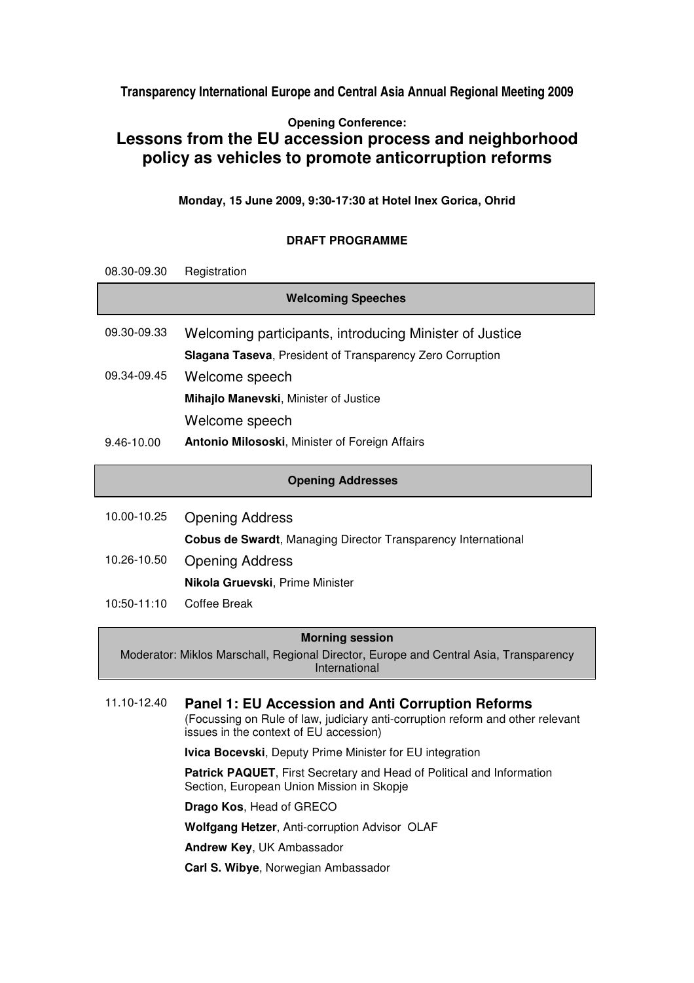**Transparency International Europe and Central Asia Annual Regional Meeting 2009** 

## **Opening Conference: Lessons from the EU accession process and neighborhood policy as vehicles to promote anticorruption reforms**

**Monday, 15 June 2009, 9:30-17:30 at Hotel Inex Gorica, Ohrid** 

## **DRAFT PROGRAMME**

| 08.30-09.30               | Registration                                                         |
|---------------------------|----------------------------------------------------------------------|
| <b>Welcoming Speeches</b> |                                                                      |
| 09.30-09.33               | Welcoming participants, introducing Minister of Justice              |
|                           | Slagana Taseva, President of Transparency Zero Corruption            |
| 09.34-09.45               | Welcome speech                                                       |
|                           | Mihajlo Manevski, Minister of Justice                                |
|                           | Welcome speech                                                       |
| 9.46-10.00                | <b>Antonio Milososki, Minister of Foreign Affairs</b>                |
| <b>Opening Addresses</b>  |                                                                      |
|                           |                                                                      |
| 10.00-10.25               | <b>Opening Address</b>                                               |
|                           | <b>Cobus de Swardt, Managing Director Transparency International</b> |
| 10.26-10.50               | <b>Opening Address</b>                                               |
|                           | Nikola Gruevski, Prime Minister                                      |

10:50-11:10 Coffee Break

## **Morning session**

Moderator: Miklos Marschall, Regional Director, Europe and Central Asia, Transparency International

11.10-12.40 **Panel 1: EU Accession and Anti Corruption Reforms** (Focussing on Rule of law, judiciary anti-corruption reform and other relevant issues in the context of EU accession) **Ivica Bocevski**, Deputy Prime Minister for EU integration **Patrick PAQUET**, First Secretary and Head of Political and Information Section, European Union Mission in Skopje **Drago Kos**, Head of GRECO **Wolfgang Hetzer**, Anti-corruption Advisor OLAF **Andrew Key**, UK Ambassador

**Carl S. Wibye**, Norwegian Ambassador